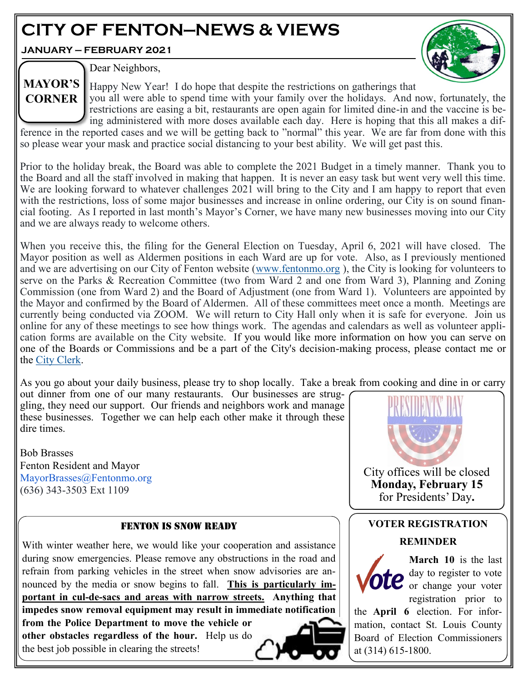# **CITY OF FENTON—NEWS & VIEWS**

**JANUARY — FEBRUARY 2021**



Dear Neighbors,

Happy New Year! I do hope that despite the restrictions on gatherings that **CORNER** you all were able to spend time with your family over the holidays. And now, fortunately, the restrictions are easing a bit, restaurants are open again for limited dine-in and the vaccine is be-**MAYOR'S** 

ing administered with more doses available each day. Here is hoping that this all makes a difference in the reported cases and we will be getting back to "normal" this year. We are far from done with this so please wear your mask and practice social distancing to your best ability. We will get past this.

Prior to the holiday break, the Board was able to complete the 2021 Budget in a timely manner. Thank you to the Board and all the staff involved in making that happen. It is never an easy task but went very well this time. We are looking forward to whatever challenges 2021 will bring to the City and I am happy to report that even with the restrictions, loss of some major businesses and increase in online ordering, our City is on sound financial footing. As I reported in last month's Mayor's Corner, we have many new businesses moving into our City and we are always ready to welcome others.

When you receive this, the filing for the General Election on Tuesday, April 6, 2021 will have closed. The Mayor position as well as Aldermen positions in each Ward are up for vote. Also, as I previously mentioned and we are advertising on our City of Fenton website [\(www.fentonmo.org](http://www.fentonmo.org) ), the City is looking for volunteers to serve on the Parks & Recreation Committee (two from Ward 2 and one from Ward 3), Planning and Zoning Commission (one from Ward 2) and the Board of Adjustment (one from Ward 1). Volunteers are appointed by the Mayor and confirmed by the Board of Aldermen. All of these committees meet once a month. Meetings are currently being conducted via ZOOM. We will return to City Hall only when it is safe for everyone. Join us online for any of these meetings to see how things work. The agendas and calendars as well as volunteer application forms are available on the City website. If you would like more information on how you can serve on one of the Boards or Commissions and be a part of the City's decision-making process, please contact me or the [City Clerk.](mailto:jhungler@fentonmo.org)

As you go about your daily business, please try to shop locally. Take a break from cooking and dine in or carry

out dinner from one of our many restaurants. Our businesses are struggling, they need our support. Our friends and neighbors work and manage these businesses. Together we can help each other make it through these dire times.

Bob Brasses Fenton Resident and Mayor MayorBrasses@Fentonmo.org (636) 343-3503 Ext 1109

# FENTON IS SNOW READY

With winter weather here, we would like your cooperation and assistance during snow emergencies. Please remove any obstructions in the road and refrain from parking vehicles in the street when snow advisories are announced by the media or snow begins to fall. **This is particularly important in cul-de-sacs and areas with narrow streets. Anything that impedes snow removal equipment may result in immediate notification from the Police Department to move the vehicle or** 

**other obstacles regardless of the hour.** Help us do the best job possible in clearing the streets!



City offices will be closed **Monday, February 15** for Presidents' Day**.**

#### **VOTER REGISTRATION**

#### **REMINDER**



**March 10** is the last day to register to vote  $\mathbf{e}$  or change your voter registration prior to

the **April 6** election. For information, contact St. Louis County Board of Election Commissioners at (314) 615-1800.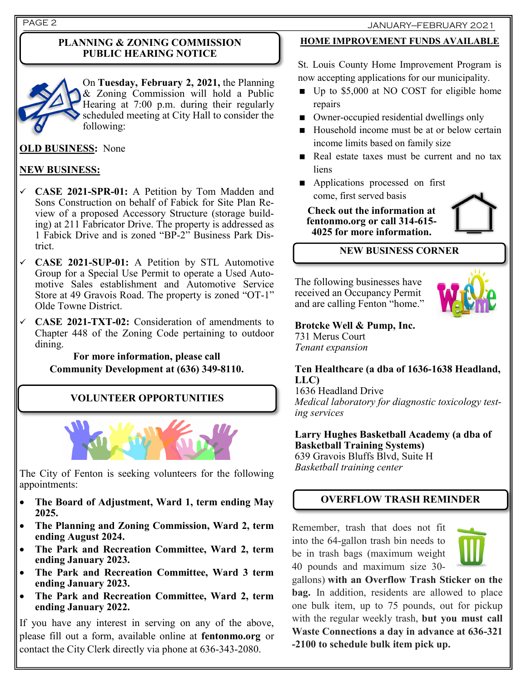#### **PLANNING & ZONING COMMISSION PUBLIC HEARING NOTICE**



On **Tuesday, February 2, 2021,** the Planning & Zoning Commission will hold a Public Hearing at 7:00 p.m. during their regularly scheduled meeting at City Hall to consider the following:

# **OLD BUSINESS:** None

# **NEW BUSINESS:**

- ✓ **CASE 2021-SPR-01:** A Petition by Tom Madden and Sons Construction on behalf of Fabick for Site Plan Review of a proposed Accessory Structure (storage building) at 211 Fabricator Drive. The property is addressed as 1 Fabick Drive and is zoned "BP-2" Business Park District.
- ✓ **CASE 2021-SUP-01:** A Petition by STL Automotive Group for a Special Use Permit to operate a Used Automotive Sales establishment and Automotive Service Store at 49 Gravois Road. The property is zoned "OT-1" Olde Towne District.
- ✓ **CASE 2021-TXT-02:** Consideration of amendments to Chapter 448 of the Zoning Code pertaining to outdoor dining.

#### **For more information, please call Community Development at (636) 349-8110.**

# **VOLUNTEER OPPORTUNITIES**



The City of Fenton is seeking volunteers for the following appointments:

- **The Board of Adjustment, Ward 1, term ending May 2025.**
- **The Planning and Zoning Commission, Ward 2, term ending August 2024.**
- **The Park and Recreation Committee, Ward 2, term ending January 2023.**
- **The Park and Recreation Committee, Ward 3 term ending January 2023.**
- **The Park and Recreation Committee, Ward 2, term ending January 2022.**

If you have any interest in serving on any of the above, please fill out a form, available online at **fentonmo.org** or contact the City Clerk directly via phone at 636-343-2080.

### **HOME IMPROVEMENT FUNDS AVAILABLE**

St. Louis County Home Improvement Program is now accepting applications for our municipality.

- Up to \$5,000 at NO COST for eligible home repairs
- Owner-occupied residential dwellings only
- Household income must be at or below certain income limits based on family size
- Real estate taxes must be current and no tax liens
- **Applications processed on first** come, first served basis

**Check out the information at fentonmo.org or call 314-615- 4025 for more information.**



## **NEW BUSINESS CORNER**

The following businesses have received an Occupancy Permit and are calling Fenton "home."



**Brotcke Well & Pump, Inc.** 731 Merus Court *Tenant expansion* 

**Ten Healthcare (a dba of 1636-1638 Headland, LLC)**

1636 Headland Drive *Medical laboratory for diagnostic toxicology testing services*

**Larry Hughes Basketball Academy (a dba of Basketball Training Systems)**  639 Gravois Bluffs Blvd, Suite H

*Basketball training center*

# **OVERFLOW TRASH REMINDER**

Remember, trash that does not fit into the 64-gallon trash bin needs to be in trash bags (maximum weight 40 pounds and maximum size 30-



gallons) **with an Overflow Trash Sticker on the bag.** In addition, residents are allowed to place one bulk item, up to 75 pounds, out for pickup with the regular weekly trash, **but you must call Waste Connections a day in advance at 636-321 -2100 to schedule bulk item pick up.**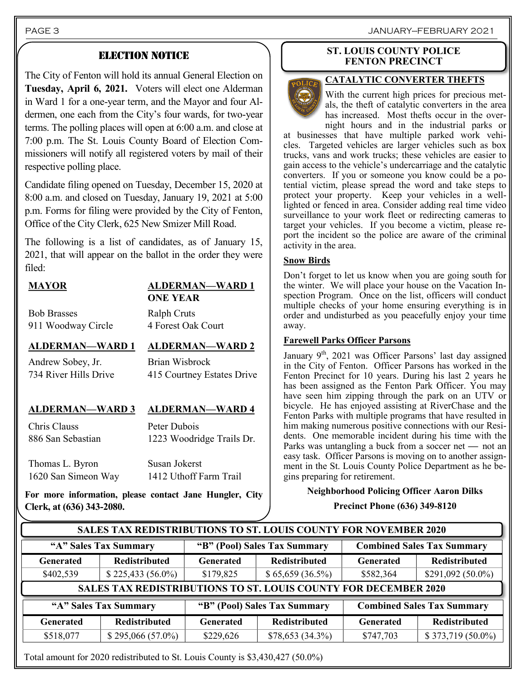# ELECTION NOTICE

The City of Fenton will hold its annual General Election on **Tuesday, April 6, 2021.** Voters will elect one Alderman in Ward 1 for a one-year term, and the Mayor and four Aldermen, one each from the City's four wards, for two-year terms. The polling places will open at 6:00 a.m. and close at 7:00 p.m. The St. Louis County Board of Election Commissioners will notify all registered voters by mail of their respective polling place.

Candidate filing opened on Tuesday, December 15, 2020 at 8:00 a.m. and closed on Tuesday, January 19, 2021 at 5:00 p.m. Forms for filing were provided by the City of Fenton, Office of the City Clerk, 625 New Smizer Mill Road.

The following is a list of candidates, as of January 15, 2021, that will appear on the ballot in the order they were filed:

#### **MAYOR ALDERMAN—WARD 1 ONE YEAR**

Bob Brasses 911 Woodway Circle

# **ALDERMAN—WARD 1 ALDERMAN—WARD 2**

4 Forest Oak Court

Ralph Cruts

Andrew Sobey, Jr. 734 River Hills Drive

Chris Clauss

Brian Wisbrock 415 Courtney Estates Drive

#### **ALDERMAN—WARD 3 ALDERMAN—WARD 4**

886 San Sebastian Peter Dubois 1223 Woodridge Trails Dr.

Thomas L. Byron 1620 San Simeon Way Susan Jokerst 1412 Uthoff Farm Trail

**For more information, please contact Jane Hungler, City Clerk, at (636) 343-2080.**

#### **ST. LOUIS COUNTY POLICE FENTON PRECINCT**



With the current high prices for precious metals, the theft of catalytic converters in the area has increased. Most thefts occur in the overnight hours and in the industrial parks or

at businesses that have multiple parked work vehicles. Targeted vehicles are larger vehicles such as box trucks, vans and work trucks; these vehicles are easier to gain access to the vehicle's undercarriage and the catalytic converters. If you or someone you know could be a potential victim, please spread the word and take steps to protect your property. Keep your vehicles in a welllighted or fenced in area. Consider adding real time video surveillance to your work fleet or redirecting cameras to target your vehicles. If you become a victim, please report the incident so the police are aware of the criminal activity in the area.

#### **Snow Birds**

Don't forget to let us know when you are going south for the winter. We will place your house on the Vacation Inspection Program. Once on the list, officers will conduct multiple checks of your home ensuring everything is in order and undisturbed as you peacefully enjoy your time away.

#### **Farewell Parks Officer Parsons**

January  $9<sup>th</sup>$ , 2021 was Officer Parsons' last day assigned in the City of Fenton. Officer Parsons has worked in the Fenton Precinct for 10 years. During his last 2 years he has been assigned as the Fenton Park Officer. You may have seen him zipping through the park on an UTV or bicycle. He has enjoyed assisting at RiverChase and the Fenton Parks with multiple programs that have resulted in him making numerous positive connections with our Residents. One memorable incident during his time with the Parks was untangling a buck from a soccer net **—** not an easy task. Officer Parsons is moving on to another assignment in the St. Louis County Police Department as he begins preparing for retirement.

#### **Neighborhood Policing Officer Aaron Dilks**

**Precinct Phone (636) 349-8120**

| <b>SALES TAX REDISTRIBUTIONS TO ST. LOUIS COUNTY FOR NOVEMBER 2020</b> |                      |                              |                      |                                   |                      |  |  |
|------------------------------------------------------------------------|----------------------|------------------------------|----------------------|-----------------------------------|----------------------|--|--|
| "A" Sales Tax Summary                                                  |                      | "B" (Pool) Sales Tax Summary |                      | <b>Combined Sales Tax Summary</b> |                      |  |  |
| <b>Generated</b>                                                       | <b>Redistributed</b> | <b>Generated</b>             | <b>Redistributed</b> | <b>Generated</b>                  | <b>Redistributed</b> |  |  |
| \$402,539                                                              | $$225,433(56.0\%)$   | \$179,825                    | \$65,659(36.5%)      | \$582,364                         | $$291,092(50.0\%)$   |  |  |
| <b>SALES TAX REDISTRIBUTIONS TO ST. LOUIS COUNTY FOR DECEMBER 2020</b> |                      |                              |                      |                                   |                      |  |  |
| "A" Sales Tax Summary                                                  |                      | "B" (Pool) Sales Tax Summary |                      | <b>Combined Sales Tax Summary</b> |                      |  |  |
| <b>Generated</b>                                                       | <b>Redistributed</b> | <b>Generated</b>             | <b>Redistributed</b> | <b>Generated</b>                  | <b>Redistributed</b> |  |  |
| \$518,077                                                              | $$295,066(57.0\%)$   | \$229,626                    | \$78,653(34.3%)      | \$747,703                         | $$373,719(50.0\%)$   |  |  |
|                                                                        |                      |                              |                      |                                   |                      |  |  |

Total amount for 2020 redistributed to St. Louis County is \$3,430,427 (50.0%)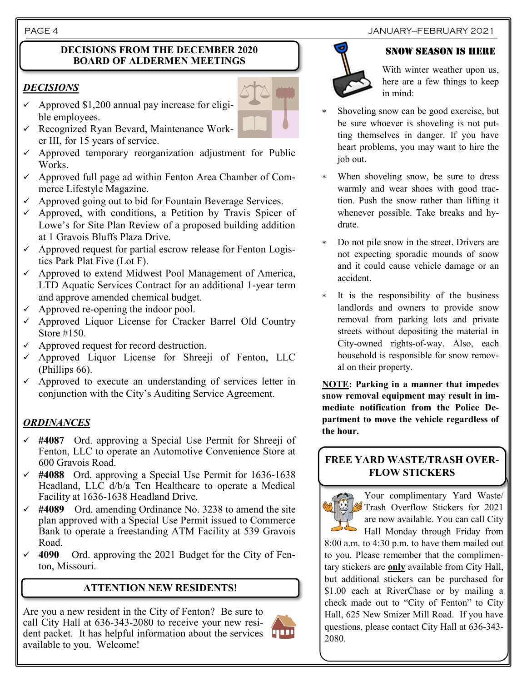#### **DECISIONS FROM THE DECEMBER 2020 BOARD OF ALDERMEN MEETINGS**

# *DECISIONS*

- $\checkmark$  Approved \$1,200 annual pay increase for eligible employees.
- $\checkmark$  Recognized Ryan Bevard, Maintenance Worker III, for 15 years of service.
- $\checkmark$  Approved temporary reorganization adjustment for Public Works.
- ✓ Approved full page ad within Fenton Area Chamber of Commerce Lifestyle Magazine.
- $\checkmark$  Approved going out to bid for Fountain Beverage Services.
- $\checkmark$  Approved, with conditions, a Petition by Travis Spicer of Lowe's for Site Plan Review of a proposed building addition at 1 Gravois Bluffs Plaza Drive.
- $\checkmark$  Approved request for partial escrow release for Fenton Logistics Park Plat Five (Lot F).
- ✓ Approved to extend Midwest Pool Management of America, LTD Aquatic Services Contract for an additional 1-year term and approve amended chemical budget.
- Approved re-opening the indoor pool.
- ✓ Approved Liquor License for Cracker Barrel Old Country Store #150.
- $\checkmark$  Approved request for record destruction.
- ✓ Approved Liquor License for Shreeji of Fenton, LLC (Phillips 66).
- $\checkmark$  Approved to execute an understanding of services letter in conjunction with the City's Auditing Service Agreement.

# *ORDINANCES*

- ✓ **#4087** Ord. approving a Special Use Permit for Shreeji of Fenton, LLC to operate an Automotive Convenience Store at 600 Gravois Road.
- ✓ **#4088** Ord. approving a Special Use Permit for 1636-1638 Headland, LLC d/b/a Ten Healthcare to operate a Medical Facility at 1636-1638 Headland Drive.
- ✓ **#4089** Ord. amending Ordinance No. 3238 to amend the site plan approved with a Special Use Permit issued to Commerce Bank to operate a freestanding ATM Facility at 539 Gravois Road.
- 4090 Ord. approving the 2021 Budget for the City of Fenton, Missouri.

# **ATTENTION NEW RESIDENTS!**

Are you a new resident in the City of Fenton? Be sure to call City Hall at 636-343-2080 to receive your new resident packet. It has helpful information about the services available to you. Welcome!



#### PAGE 4 JANUARY—FEBRUARY 2021

### Snow season is here



With winter weather upon us, here are a few things to keep in mind:

- Shoveling snow can be good exercise, but be sure whoever is shoveling is not putting themselves in danger. If you have heart problems, you may want to hire the job out.
- When shoveling snow, be sure to dress warmly and wear shoes with good traction. Push the snow rather than lifting it whenever possible. Take breaks and hydrate.
- Do not pile snow in the street. Drivers are not expecting sporadic mounds of snow and it could cause vehicle damage or an accident.
- It is the responsibility of the business landlords and owners to provide snow removal from parking lots and private streets without depositing the material in City-owned rights-of-way. Also, each household is responsible for snow removal on their property.

**NOTE: Parking in a manner that impedes snow removal equipment may result in immediate notification from the Police Department to move the vehicle regardless of the hour.**

# **FREE YARD WASTE/TRASH OVER-FLOW STICKERS**

Your complimentary Yard Waste/ Trash Overflow Stickers for 2021 are now available. You can call City Hall Monday through Friday from 8:00 a.m. to 4:30 p.m. to have them mailed out to you. Please remember that the complimentary stickers are **only** available from City Hall, but additional stickers can be purchased for \$1.00 each at RiverChase or by mailing a check made out to "City of Fenton" to City Hall, 625 New Smizer Mill Road. If you have questions, please contact City Hall at 636-343- 2080.

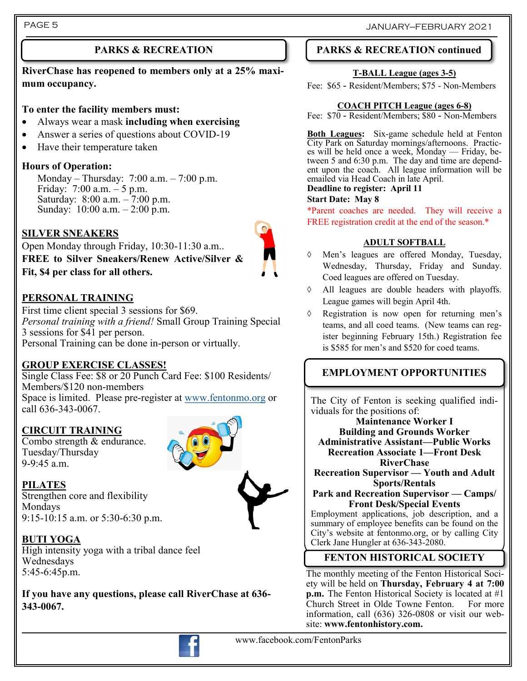# **PARKS & RECREATION**

**RiverChase has reopened to members only at a 25% maximum occupancy.**

#### **To enter the facility members must:**

- Always wear a mask **including when exercising**
- Answer a series of questions about COVID-19
- Have their temperature taken

### **Hours of Operation:**

Monday – Thursday: 7:00 a.m. – 7:00 p.m. Friday: 7:00 a.m. – 5 p.m. Saturday: 8:00 a.m. – 7:00 p.m. Sunday: 10:00 a.m. – 2:00 p.m.

# **SILVER SNEAKERS**

Open Monday through Friday, 10:30-11:30 a.m.. **FREE to Silver Sneakers/Renew Active/Silver & Fit, \$4 per class for all others.**

# **PERSONAL TRAINING**

First time client special 3 sessions for \$69. *Personal training with a friend!* Small Group Training Special 3 sessions for \$41 per person. Personal Training can be done in-person or virtually.

# **GROUP EXERCISE CLASSES!**

Single Class Fee: \$8 or 20 Punch Card Fee: \$100 Residents/ Members/\$120 non-members Space is limited. Please pre-register at [www.fentonmo.org](http://www.fentonmo.org) or call 636-343-0067.

#### **CIRCUIT TRAINING**

Combo strength & endurance. Tuesday/Thursday 9-9:45 a.m.



**PILATES** Strengthen core and flexibility Mondays 9:15-10:15 a.m. or 5:30-6:30 p.m.

# **BUTI YOGA**

High intensity yoga with a tribal dance feel Wednesdays 5:45-6:45p.m.

**If you have any questions, please call RiverChase at 636- 343-0067.**



# **PARKS & RECREATION continued**

#### **T-BALL League (ages 3-5)**

Fee: \$65 - Resident/Members; \$75 - Non-Members

#### **COACH PITCH League (ages 6-8)**

Fee: \$70 - Resident/Members; \$80 - Non-Members

**Both Leagues:** Six-game schedule held at Fenton City Park on Saturday mornings/afternoons. Practices will be held once a week, Monday — Friday, between 5 and 6:30 p.m. The day and time are dependent upon the coach. All league information will be emailed via Head Coach in late April.

#### **Deadline to register: April 11**

#### **Start Date: May 8**

\*Parent coaches are needed. They will receive a FREE registration credit at the end of the season.\*

#### **ADULT SOFTBALL**

- Men's leagues are offered Monday, Tuesday, Wednesday, Thursday, Friday and Sunday. Coed leagues are offered on Tuesday.
- All leagues are double headers with playoffs. League games will begin April 4th.
- $\Diamond$  Registration is now open for returning men's teams, and all coed teams. (New teams can register beginning February 15th.) Registration fee is \$585 for men's and \$520 for coed teams.

# **EMPLOYMENT OPPORTUNITIES**

The City of Fenton is seeking qualified individuals for the positions of:

**Maintenance Worker I Building and Grounds Worker Administrative Assistant—Public Works Recreation Associate 1—Front Desk RiverChase**

**Recreation Supervisor — Youth and Adult Sports/Rentals**

**Park and Recreation Supervisor — Camps/ Front Desk/Special Events**

Employment applications, job description, and a summary of employee benefits can be found on the City's website at fentonmo.org, or by calling City Clerk Jane Hungler at 636-343-2080.

# **FENTON HISTORICAL SOCIETY**

The monthly meeting of the Fenton Historical Society will be held on **Thursday, February 4 at 7:00 p.m.** The Fenton Historical Society is located at #1 Church Street in Olde Towne Fenton. For more information, call (636) 326-0808 or visit our website: **www.fentonhistory.com.**